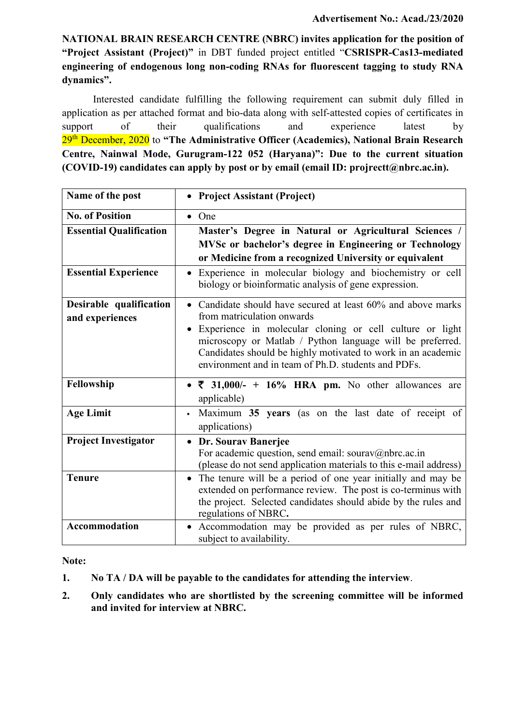NATIONAL BRAIN RESEARCH CENTRE (NBRC) invites application for the position of "Project Assistant (Project)" in DBT funded project entitled "CSRISPR-Cas13-mediated engineering of endogenous long non-coding RNAs for fluorescent tagging to study RNA dynamics".

Interested candidate fulfilling the following requirement can submit duly filled in application as per attached format and bio-data along with self-attested copies of certificates in support of their qualifications and experience latest by 29<sup>th</sup> December, 2020 to "The Administrative Officer (Academics), National Brain Research Centre, Nainwal Mode, Gurugram-122 052 (Haryana)": Due to the current situation  $(COVID-19)$  candidates can apply by post or by email (email ID: projrectt@nbrc.ac.in).

| Name of the post               | • Project Assistant (Project)                                                                                                      |  |  |  |  |  |
|--------------------------------|------------------------------------------------------------------------------------------------------------------------------------|--|--|--|--|--|
| <b>No. of Position</b>         | $\bullet$ One                                                                                                                      |  |  |  |  |  |
| <b>Essential Qualification</b> | Master's Degree in Natural or Agricultural Sciences /                                                                              |  |  |  |  |  |
|                                | MVSc or bachelor's degree in Engineering or Technology                                                                             |  |  |  |  |  |
|                                | or Medicine from a recognized University or equivalent                                                                             |  |  |  |  |  |
| <b>Essential Experience</b>    | Experience in molecular biology and biochemistry or cell<br>$\bullet$<br>biology or bioinformatic analysis of gene expression.     |  |  |  |  |  |
| Desirable qualification        | • Candidate should have secured at least 60% and above marks                                                                       |  |  |  |  |  |
| and experiences                | from matriculation onwards                                                                                                         |  |  |  |  |  |
|                                | Experience in molecular cloning or cell culture or light<br>$\bullet$<br>microscopy or Matlab / Python language will be preferred. |  |  |  |  |  |
|                                | Candidates should be highly motivated to work in an academic                                                                       |  |  |  |  |  |
|                                | environment and in team of Ph.D. students and PDFs.                                                                                |  |  |  |  |  |
| Fellowship                     | $\bar{\epsilon}$ 31,000/- + 16% HRA pm. No other allowances are                                                                    |  |  |  |  |  |
|                                | applicable)                                                                                                                        |  |  |  |  |  |
| <b>Age Limit</b>               | Maximum 35 years (as on the last date of receipt of<br>$\bullet$                                                                   |  |  |  |  |  |
|                                | applications)                                                                                                                      |  |  |  |  |  |
| <b>Project Investigator</b>    | Dr. Sourav Banerjee<br>$\bullet$                                                                                                   |  |  |  |  |  |
|                                | For academic question, send email: sourav@nbrc.ac.in                                                                               |  |  |  |  |  |
|                                | (please do not send application materials to this e-mail address)                                                                  |  |  |  |  |  |
| <b>Tenure</b>                  | • The tenure will be a period of one year initially and may be<br>extended on performance review. The post is co-terminus with     |  |  |  |  |  |
|                                | the project. Selected candidates should abide by the rules and                                                                     |  |  |  |  |  |
|                                | regulations of NBRC.                                                                                                               |  |  |  |  |  |
| <b>Accommodation</b>           | Accommodation may be provided as per rules of NBRC,                                                                                |  |  |  |  |  |
|                                | subject to availability.                                                                                                           |  |  |  |  |  |

## Note:

- 1. No TA / DA will be payable to the candidates for attending the interview.
- 2. Only candidates who are shortlisted by the screening committee will be informed and invited for interview at NBRC.